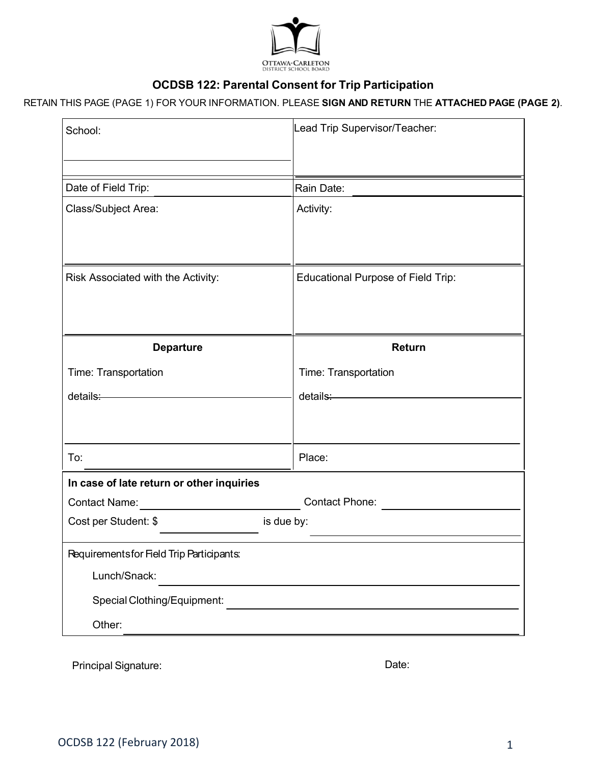

# **OCDSB 122: Parental Consent for Trip Participation**

## RETAIN THIS PAGE (PAGE 1) FOR YOUR INFORMATION. PLEASE **SIGN AND RETURN** THE **ATTACHED PAGE (PAGE 2)**.

| School:                                   | Lead Trip Supervisor/Teacher:                                                                                                                                                                                                        |  |  |  |
|-------------------------------------------|--------------------------------------------------------------------------------------------------------------------------------------------------------------------------------------------------------------------------------------|--|--|--|
| Date of Field Trip:                       | Rain Date:                                                                                                                                                                                                                           |  |  |  |
| Class/Subject Area:                       | Activity:                                                                                                                                                                                                                            |  |  |  |
| Risk Associated with the Activity:        | <b>Educational Purpose of Field Trip:</b>                                                                                                                                                                                            |  |  |  |
| <b>Departure</b>                          | Return                                                                                                                                                                                                                               |  |  |  |
| Time: Transportation                      | Time: Transportation                                                                                                                                                                                                                 |  |  |  |
| details: www.communications.com           | details: <u>compared to the set of the set of the set of the set of the set of the set of the set of the set of the set of the set of the set of the set of the set of the set of the set of the set of the set of the set of th</u> |  |  |  |
|                                           |                                                                                                                                                                                                                                      |  |  |  |
| To:                                       | Place:                                                                                                                                                                                                                               |  |  |  |
| In case of late return or other inquiries |                                                                                                                                                                                                                                      |  |  |  |
| Contact Phone:<br><b>Contact Name:</b>    |                                                                                                                                                                                                                                      |  |  |  |
| is due by:<br>Cost per Student: \$        |                                                                                                                                                                                                                                      |  |  |  |
| Requirements for Field Trip Participants: |                                                                                                                                                                                                                                      |  |  |  |
| Lunch/Snack:                              |                                                                                                                                                                                                                                      |  |  |  |
| Special Clothing/Equipment:               |                                                                                                                                                                                                                                      |  |  |  |
| Other:                                    |                                                                                                                                                                                                                                      |  |  |  |
|                                           |                                                                                                                                                                                                                                      |  |  |  |

Principal Signature: Date: Date: Date: Date: Date: Date: Date: Date: Date: Date: Date: Date: Date: Date: Date: Date: Date: Date: Date: Date: Date: Date: Date: Date: Date: Date: Date: Date: Date: Date: Date: Date: Date: Dat